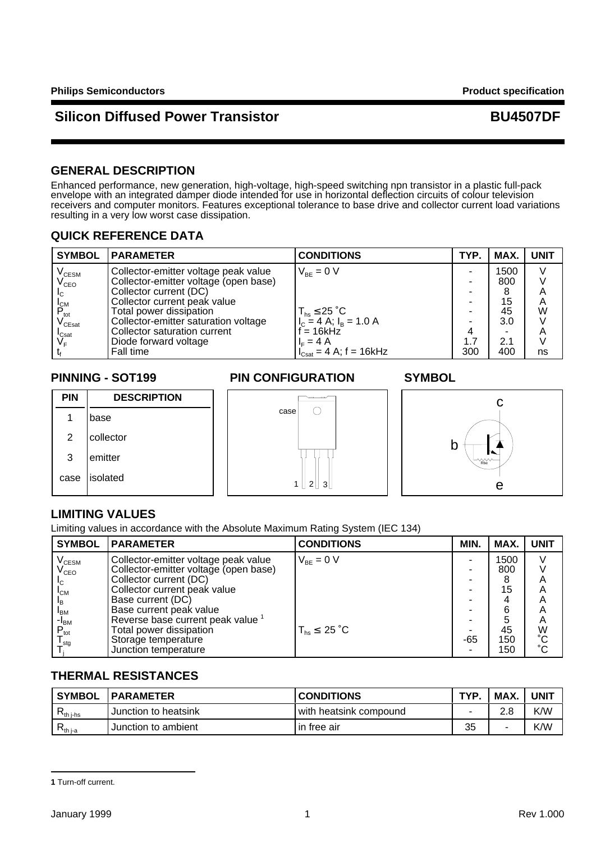# **Silicon Diffused Power Transistor Access 19 and BU4507DF**

## **GENERAL DESCRIPTION**

Enhanced performance, new generation, high-voltage, high-speed switching npn transistor in a plastic full-pack envelope with an integrated damper diode intended for use in horizontal deflection circuits of colour television receivers and computer monitors. Features exceptional tolerance to base drive and collector current load variations resulting in a very low worst case dissipation.

## **QUICK REFERENCE DATA**

| <b>SYMBOL</b>                    | <b>IPARAMETER</b>                     | <b>CONDITIONS</b>                                   | TYP. | MAX. | <b>UNIT</b> |
|----------------------------------|---------------------------------------|-----------------------------------------------------|------|------|-------------|
| $\rm V_{\rm CESM}$               | Collector-emitter voltage peak value  | $V_{BF} = 0 V$                                      |      | 1500 |             |
| $\mathsf{V}_{\mathsf{CEO}}$      | Collector-emitter voltage (open base) |                                                     |      | 800  |             |
| I <sub>C</sub>                   | Collector current (DC)                |                                                     | -    |      | Α           |
|                                  | Collector current peak value          |                                                     |      | 15   | A           |
| $P_{\rm tot}$<br>$V_{\rm CEsat}$ | Total power dissipation               | $T_{hs} \leq 25$ °C                                 |      | 45   | W           |
|                                  | Collector-emitter saturation voltage  | $I_c = 4 A$ ; $I_B = 1.0 A$                         |      | 3.0  |             |
|                                  | Collector saturation current          | $= 16$ kHz                                          |      |      | A           |
| $V_{\text{F}}^{\text{Sat}}$      | Diode forward voltage                 | $I_{E} = 4 A$                                       | 1.7  | 2.1  |             |
|                                  | Fall time                             | $I_{\text{Cast}} = 4 \text{ A}; f = 16 \text{ kHz}$ | 300  | 400  | ns          |

1 base

2 collector

3 emitter case | isolated

**PIN DESCRIPTION**

### **PINNING - SOT199 PIN CONFIGURATION SYMBOL**

case



## **LIMITING VALUES**

Limiting values in accordance with the Absolute Maximum Rating System (IEC 134)

| <b>SYMBOL</b>             | <b>PARAMETER</b>                             | <b>CONDITIONS</b>     | MIN. | MAX. | <b>UNIT</b>  |
|---------------------------|----------------------------------------------|-----------------------|------|------|--------------|
| $\rm V_{\rm CESM}$        | Collector-emitter voltage peak value         | $V_{BF} = 0 V$        |      | 1500 | V            |
| $V_{\texttt{CEO}}$        | Collector-emitter voltage (open base)        |                       |      | 800  |              |
| IC.                       | Collector current (DC)                       |                       |      | 8    | A            |
| $I_{CM}$                  | Collector current peak value                 |                       |      | 15   | Α            |
| <sup>I</sup> B            | Base current (DC)                            |                       |      |      | Α            |
| <sup>I</sup> BM           | Base current peak value                      |                       |      | 6    | Α            |
| $-I_{BM}$                 | Reverse base current peak value <sup>1</sup> |                       |      | 5    | Α            |
| $\mathsf{P}_{\sf tot}$    | Total power dissipation                      | $T_{hs}$ $\leq$ 25 °C |      | 45   | W            |
| $\mathsf{I}_{\text{sta}}$ | Storage temperature                          |                       | -65  | 150  | $^{\circ}$ C |
|                           | Junction temperature                         |                       |      | 150  | $^{\circ}$ C |

1 ∐ 2 ∐ 3

 $\bigcirc$ 

# **THERMAL RESISTANCES**

| <b>SYMBOL</b>                    | <b>PARAMETER</b>     | <b>CONDITIONS</b>      | <b>TYP</b> | MAX. | <b>UNIT</b> |
|----------------------------------|----------------------|------------------------|------------|------|-------------|
| $\mathbf{\tau}_{\text{th}}$ i-hs | Junction to heatsink | with heatsink compound |            | റ റ  | K/W         |
| $R_{th\,ja}$                     | Junction to ambient  | l in free air          | 35         |      | K/W         |

**<sup>1</sup>** Turn-off current.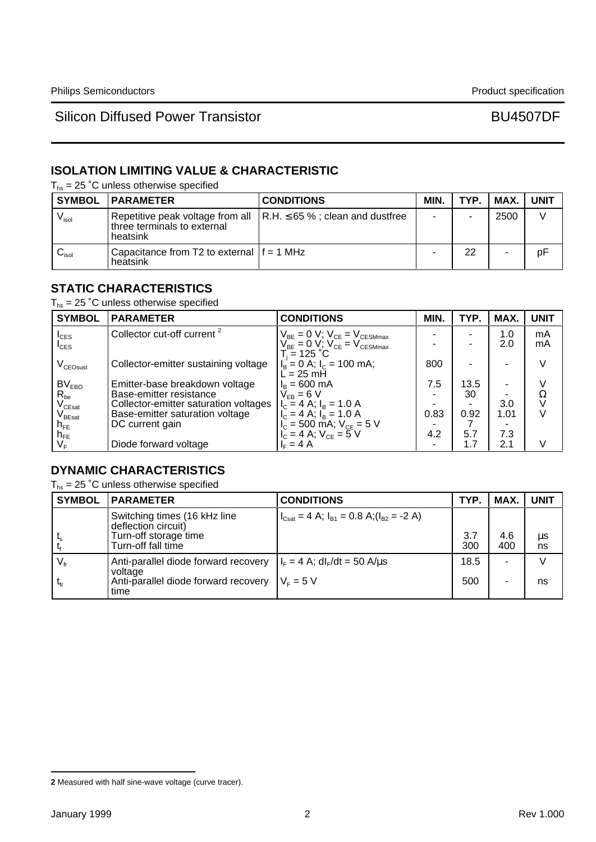# **ISOLATION LIMITING VALUE & CHARACTERISTIC**

 $T_{hs}$  = 25 °C unless otherwise specified

|                            | <b>SYMBOL   PARAMETER</b>                                | <b>CONDITIONS</b>                                                             | MIN. | TYP. | MAX. | <b>UNIT</b> |
|----------------------------|----------------------------------------------------------|-------------------------------------------------------------------------------|------|------|------|-------------|
| $V_{\sf isol}$             | three terminals to external<br>heatsink                  | Repetitive peak voltage from all $\vert$ R.H. $\leq$ 65 %; clean and dustfree |      |      | 2500 |             |
| $\mathsf{v}_\mathsf{isol}$ | Capacitance from T2 to external $ f = 1$ MHz<br>heatsink |                                                                               |      | 22   | ۰    | pF          |

## **STATIC CHARACTERISTICS**

 $T_{hs}$  = 25 °C unless otherwise specified

| <b>SYMBOL</b>                          | <b>PARAMETER</b>                       | <b>CONDITIONS</b>                                                                              | MIN. | TYP. | MAX. | <b>UNIT</b> |
|----------------------------------------|----------------------------------------|------------------------------------------------------------------------------------------------|------|------|------|-------------|
| $I_{CES}$                              | Collector cut-off current <sup>2</sup> | $\begin{array}{c} V_{BE}=0~V;~V_{CE}=V_{CESMmax}\\ V_{BE}=0~V;~V_{CE}=V_{CESMmax} \end{array}$ |      |      | 1.0  | mA          |
| $I_{\text{CES}}$                       |                                        |                                                                                                |      |      | 2.0  | mA          |
| V <sub>CEOsust</sub>                   | Collector-emitter sustaining voltage   | $T_i = 125 °C$<br>$I_B = 0$ A; $I_C = 100$ mA;<br>$L = 25$ mH                                  | 800  |      |      | V           |
| BV <sub>EBO</sub>                      | Emitter-base breakdown voltage         | $I_B = 600 \text{ mA}$                                                                         | 7.5  | 13.5 |      | V           |
| $R_{be}$                               | Base-emitter resistance                | $V_{FB} = 6 V$                                                                                 |      | 30   |      | Ω           |
| $V_{\text{CEsat}}$                     | Collector-emitter saturation voltages  | $I_c = 4$ A; $I_B = 1.0$ A                                                                     |      |      | 3.0  |             |
| $\mathsf{V}_{\mathsf{B}\mathsf{East}}$ | Base-emitter saturation voltage        | $I_{C} = 4$ A; $I_{B} = 1.0$ A                                                                 | 0.83 | 0.92 | 1.01 | $\vee$      |
| $n_{FE}$                               | DC current gain                        |                                                                                                |      |      |      |             |
|                                        |                                        | $I_C = 500$ mA; $V_{CE} = 5$ V<br>$I_C = 4$ A; $V_{CE} = 5$ V                                  | 4.2  | 5.7  | 7.3  |             |
| $N_{\text{FE}}$<br>$V_{\text{F}}$      | Diode forward voltage                  | $IE = 4 A$                                                                                     |      | 1.7  | 2.1  | V           |

## **DYNAMIC CHARACTERISTICS**

 $T_{hs}$  = 25 °C unless otherwise specified

| <b>SYMBOL</b>               | <b>PARAMETER</b>                                                                                                                                         | <b>CONDITIONS</b>                                                           | TYP.        | MAX.       | <b>UNIT</b>   |
|-----------------------------|----------------------------------------------------------------------------------------------------------------------------------------------------------|-----------------------------------------------------------------------------|-------------|------------|---------------|
|                             | Switching times (16 kHz line<br>deflection circuit)<br>Turn-off storage time<br>Turn-off fall time                                                       | $ I_{\text{Csat}} = 4$ A; $I_{\text{B1}} = 0.8$ A; $(I_{\text{B2}} = -2$ A) | 3.7<br>300  | 4.6<br>400 | $\mu$ s<br>ns |
| $V_{\text{fr}}$<br>$t_{fr}$ | Anti-parallel diode forward recovery $ I_F = 4 A$ ; dl <sub>F</sub> /dt = 50 A/us<br>voltage<br>Anti-parallel diode forward recovery $V_F = 5 V$<br>time |                                                                             | 18.5<br>500 | -          | ns            |

**<sup>2</sup>** Measured with half sine-wave voltage (curve tracer).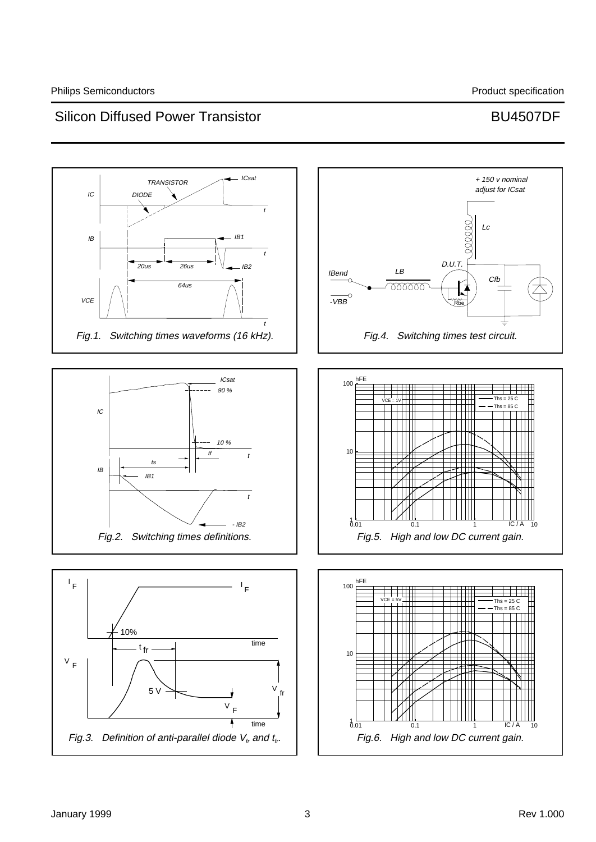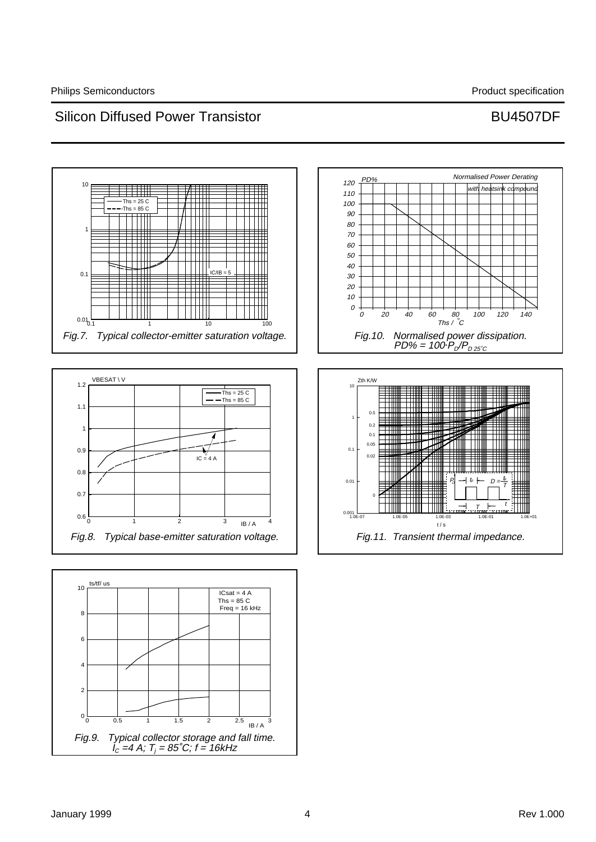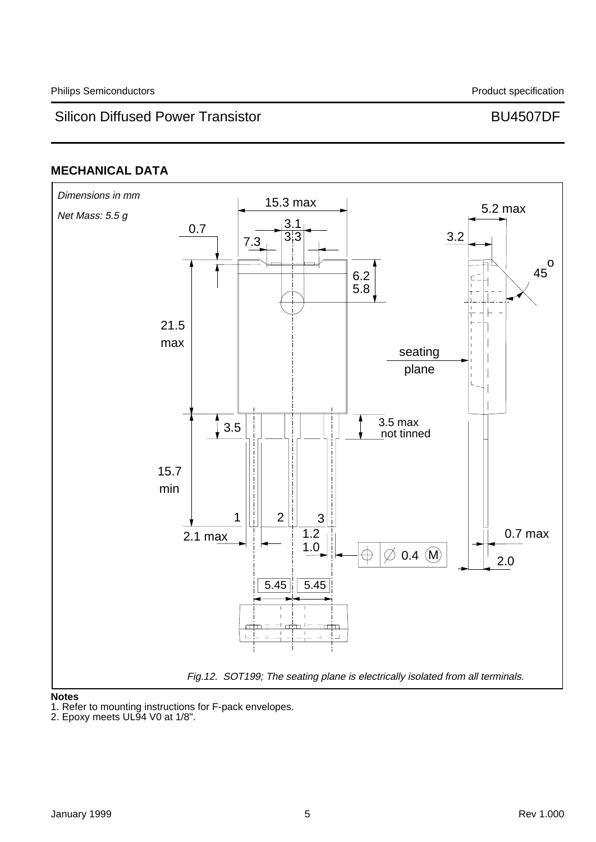# **MECHANICAL DATA**



### **Notes**

1. Refer to mounting instructions for F-pack envelopes.

<sup>2.</sup> Epoxy meets UL94 V0 at 1/8".